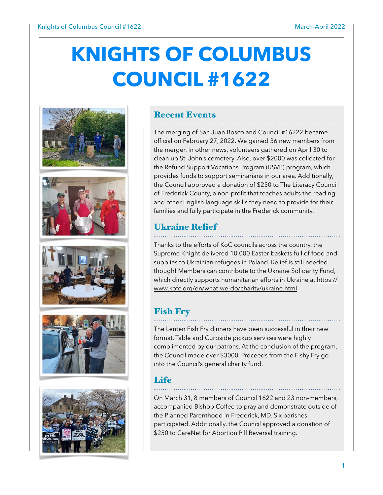# **KNIGHTS OF COLUMBUS COUNCIL #1622**











#### Recent Events

The merging of San Juan Bosco and Council #16222 became official on February 27, 2022. We gained 36 new members from the merger. In other news, volunteers gathered on April 30 to clean up St. John's cemetery. Also, over \$2000 was collected for the Refund Support Vocations Program (RSVP) program, which provides funds to support seminarians in our area. Additionally, the Council approved a donation of \$250 to The Literacy Council of Frederick County, a non-profit that teaches adults the reading and other English language skills they need to provide for their families and fully participate in the Frederick community.

# Ukraine Relief

Thanks to the efforts of KoC councils across the country, the Supreme Knight delivered 10,000 Easter baskets full of food and supplies to Ukrainian refugees in Poland. Relief is still needed though! Members can contribute to the Ukraine Solidarity Fund, which directly supports humanitarian efforts in Ukraine at https:// www.kofc.org/en/what-we-do/charity/ukraine.html.

# Fish Fry

The Lenten Fish Fry dinners have been successful in their new format. Table and Curbside pickup services were highly complimented by our patrons. At the conclusion of the program, the Council made over \$3000. Proceeds from the Fishy Fry go into the Council's general charity fund.

### Life

On March 31, 8 members of Council 1622 and 23 non-members, accompanied Bishop Coffee to pray and demonstrate outside of the Planned Parenthood in Frederick, MD. Six parishes participated. Additionally, the Council approved a donation of \$250 to CareNet for Abortion Pill Reversal training.